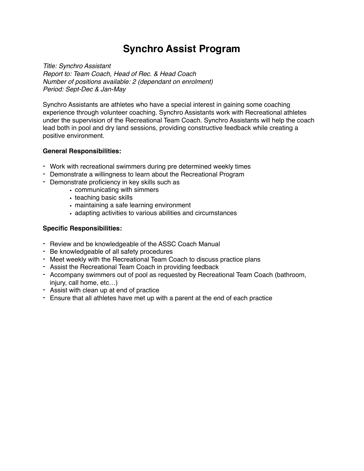## **Synchro Assist Program**

*Title: Synchro Assistant Report to: Team Coach, Head of Rec. & Head Coach Number of positions available: 2 (dependant on enrolment) Period: Sept-Dec & Jan-May*

Synchro Assistants are athletes who have a special interest in gaining some coaching experience through volunteer coaching. Synchro Assistants work with Recreational athletes under the supervision of the Recreational Team Coach. Synchro Assistants will help the coach lead both in pool and dry land sessions, providing constructive feedback while creating a positive environment.

## **General Responsibilities:**

- Work with recreational swimmers during pre determined weekly times
- Demonstrate a willingness to learn about the Recreational Program
- Demonstrate proficiency in key skills such as
	- communicating with simmers
	- teaching basic skills
	- maintaining a safe learning environment
	- adapting activities to various abilities and circumstances

## **Specific Responsibilities:**

- Review and be knowledgeable of the ASSC Coach Manual
- Be knowledgeable of all safety procedures
- Meet weekly with the Recreational Team Coach to discuss practice plans
- Assist the Recreational Team Coach in providing feedback
- Accompany swimmers out of pool as requested by Recreational Team Coach (bathroom, injury, call home, etc…)
- Assist with clean up at end of practice
- Ensure that all athletes have met up with a parent at the end of each practice